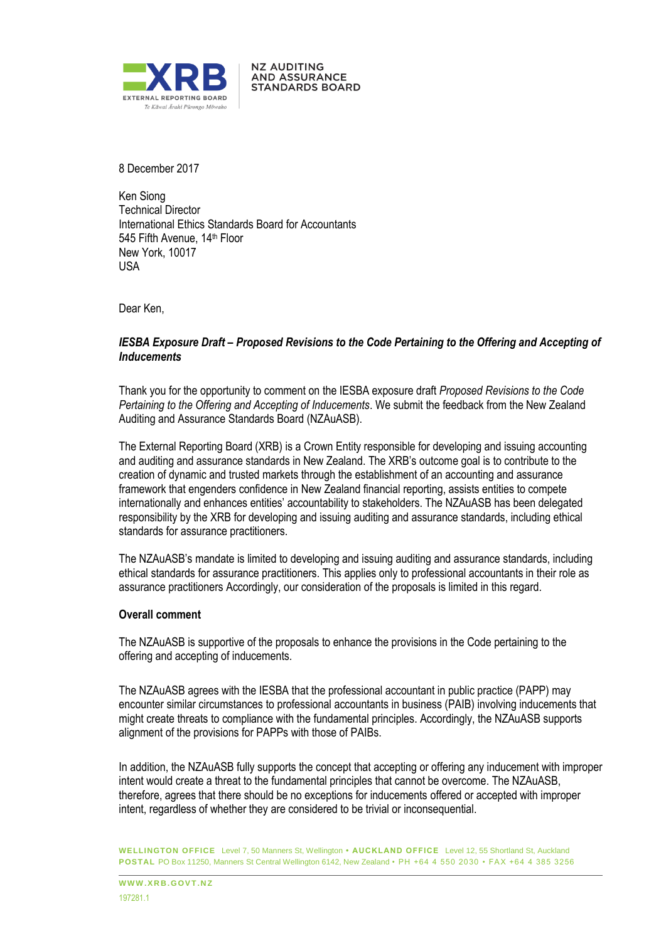

8 December 2017

Ken Siong Technical Director International Ethics Standards Board for Accountants 545 Fifth Avenue, 14<sup>th</sup> Floor New York, 10017 USA

**NZ AUDITING AND ASSURANCE STANDARDS BOARD** 

Dear Ken,

## *IESBA Exposure Draft – Proposed Revisions to the Code Pertaining to the Offering and Accepting of Inducements*

Thank you for the opportunity to comment on the IESBA exposure draft *Proposed Revisions to the Code Pertaining to the Offering and Accepting of Inducements*. We submit the feedback from the New Zealand Auditing and Assurance Standards Board (NZAuASB).

The External Reporting Board (XRB) is a Crown Entity responsible for developing and issuing accounting and auditing and assurance standards in New Zealand. The XRB's outcome goal is to contribute to the creation of dynamic and trusted markets through the establishment of an accounting and assurance framework that engenders confidence in New Zealand financial reporting, assists entities to compete internationally and enhances entities' accountability to stakeholders. The NZAuASB has been delegated responsibility by the XRB for developing and issuing auditing and assurance standards, including ethical standards for assurance practitioners.

The NZAuASB's mandate is limited to developing and issuing auditing and assurance standards, including ethical standards for assurance practitioners. This applies only to professional accountants in their role as assurance practitioners Accordingly, our consideration of the proposals is limited in this regard.

## **Overall comment**

The NZAuASB is supportive of the proposals to enhance the provisions in the Code pertaining to the offering and accepting of inducements.

The NZAuASB agrees with the IESBA that the professional accountant in public practice (PAPP) may encounter similar circumstances to professional accountants in business (PAIB) involving inducements that might create threats to compliance with the fundamental principles. Accordingly, the NZAuASB supports alignment of the provisions for PAPPs with those of PAIBs.

In addition, the NZAuASB fully supports the concept that accepting or offering any inducement with improper intent would create a threat to the fundamental principles that cannot be overcome. The NZAuASB, therefore, agrees that there should be no exceptions for inducements offered or accepted with improper intent, regardless of whether they are considered to be trivial or inconsequential.

**WELLINGTON OFFICE** Level 7, 50 Manners St, Wellington **• AUCKLAND OFFICE** Level 12, 55 Shortland St, Auckland **POSTAL** PO Box 11250, Manners St Central Wellington 6142, New Zealand • PH +64 4 550 2030 • FAX +64 4 385 3256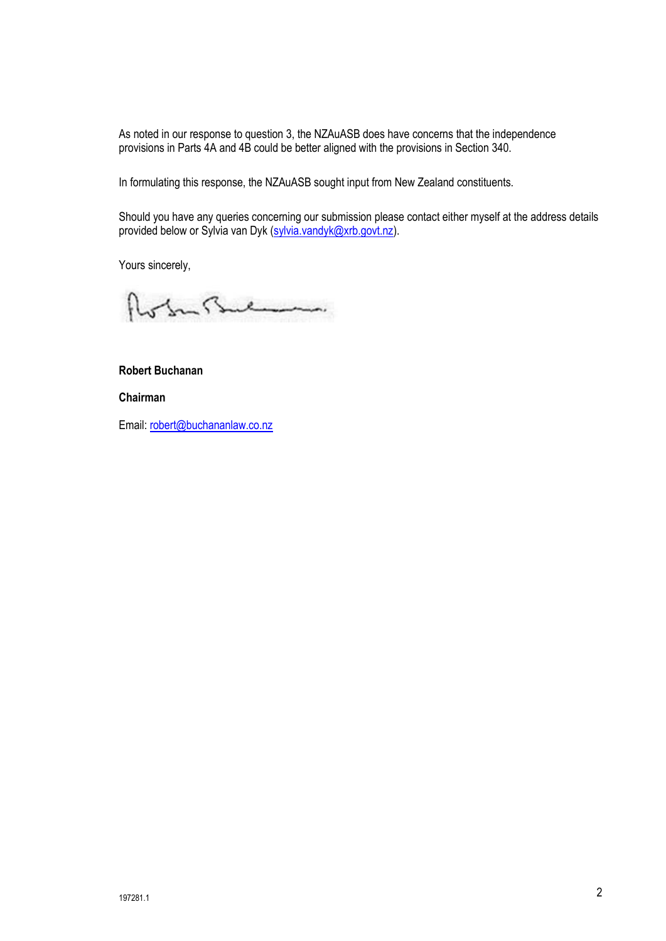As noted in our response to question 3, the NZAuASB does have concerns that the independence provisions in Parts 4A and 4B could be better aligned with the provisions in Section 340.

In formulating this response, the NZAuASB sought input from New Zealand constituents.

Should you have any queries concerning our submission please contact either myself at the address details provided below or Sylvia van Dyk (sylvia.vandyk@xrb.govt.nz).

Yours sincerely,

of In Bulmon.

# **Robert Buchanan**

**Chairman**

Email: robert@buchananlaw.co.nz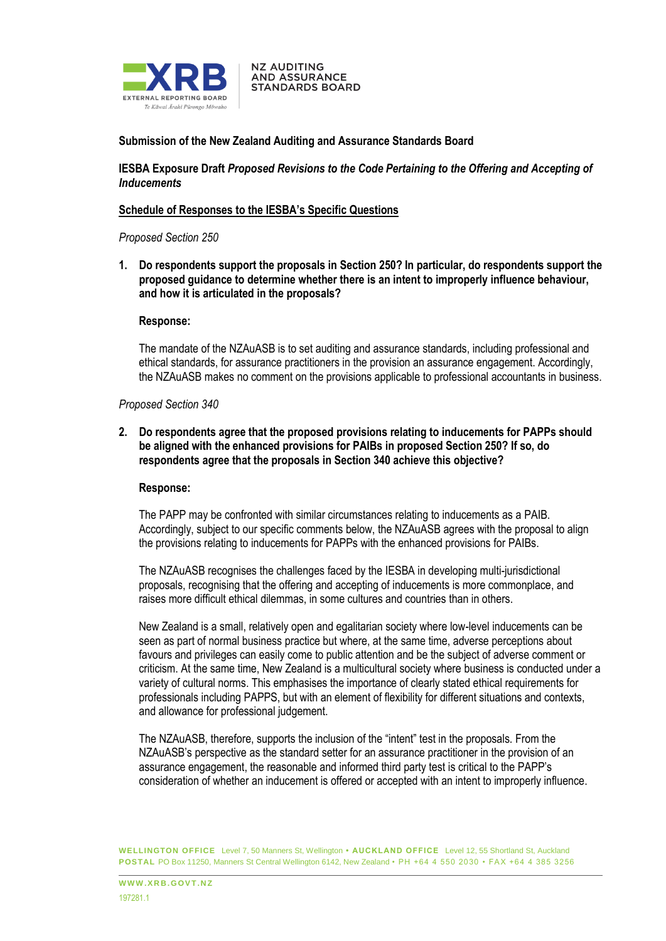

## **Submission of the New Zealand Auditing and Assurance Standards Board**

**NZ AUDITING AND ASSURANCE STANDARDS BOARD** 

**IESBA Exposure Draft** *Proposed Revisions to the Code Pertaining to the Offering and Accepting of Inducements*

#### **Schedule of Responses to the IESBA's Specific Questions**

#### *Proposed Section 250*

**1. Do respondents support the proposals in Section 250? In particular, do respondents support the proposed guidance to determine whether there is an intent to improperly influence behaviour, and how it is articulated in the proposals?**

#### **Response:**

The mandate of the NZAuASB is to set auditing and assurance standards, including professional and ethical standards, for assurance practitioners in the provision an assurance engagement. Accordingly, the NZAuASB makes no comment on the provisions applicable to professional accountants in business.

### *Proposed Section 340*

**2. Do respondents agree that the proposed provisions relating to inducements for PAPPs should be aligned with the enhanced provisions for PAIBs in proposed Section 250? If so, do respondents agree that the proposals in Section 340 achieve this objective?**

#### **Response:**

The PAPP may be confronted with similar circumstances relating to inducements as a PAIB. Accordingly, subject to our specific comments below, the NZAuASB agrees with the proposal to align the provisions relating to inducements for PAPPs with the enhanced provisions for PAIBs.

The NZAuASB recognises the challenges faced by the IESBA in developing multi-jurisdictional proposals, recognising that the offering and accepting of inducements is more commonplace, and raises more difficult ethical dilemmas, in some cultures and countries than in others.

New Zealand is a small, relatively open and egalitarian society where low-level inducements can be seen as part of normal business practice but where, at the same time, adverse perceptions about favours and privileges can easily come to public attention and be the subject of adverse comment or criticism. At the same time, New Zealand is a multicultural society where business is conducted under a variety of cultural norms. This emphasises the importance of clearly stated ethical requirements for professionals including PAPPS, but with an element of flexibility for different situations and contexts, and allowance for professional judgement.

The NZAuASB, therefore, supports the inclusion of the "intent" test in the proposals. From the NZAuASB's perspective as the standard setter for an assurance practitioner in the provision of an assurance engagement, the reasonable and informed third party test is critical to the PAPP's consideration of whether an inducement is offered or accepted with an intent to improperly influence.

**WELLINGTON OFFICE** Level 7, 50 Manners St, Wellington **• AUCKLAND OFFICE** Level 12, 55 Shortland St, Auckland **POSTAL** PO Box 11250, Manners St Central Wellington 6142, New Zealand • PH +64 4 550 2030 • FAX +64 4 385 3256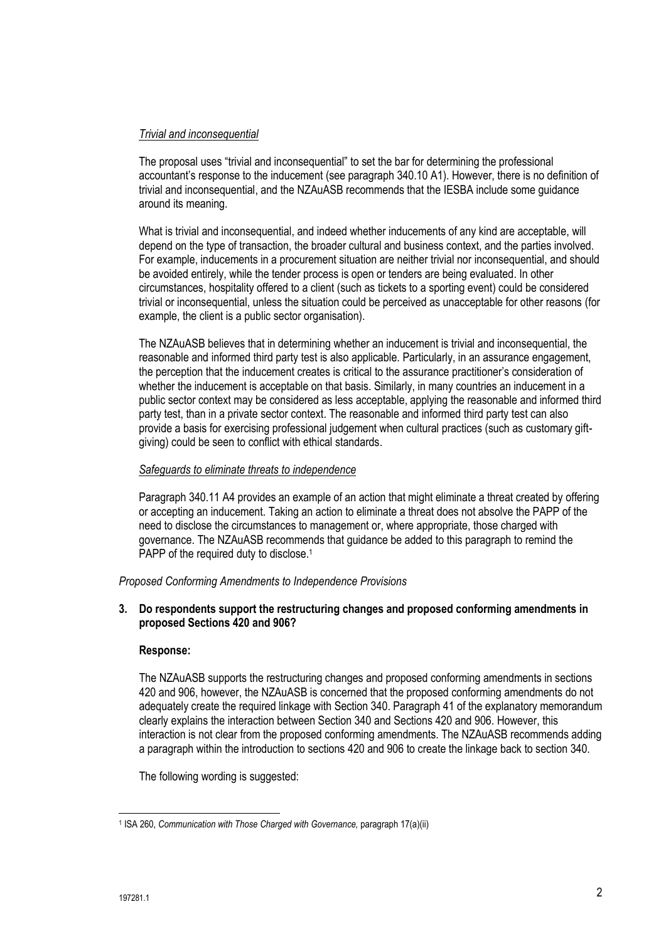# *Trivial and inconsequential*

The proposal uses "trivial and inconsequential" to set the bar for determining the professional accountant's response to the inducement (see paragraph 340.10 A1). However, there is no definition of trivial and inconsequential, and the NZAuASB recommends that the IESBA include some guidance around its meaning.

What is trivial and inconsequential, and indeed whether inducements of any kind are acceptable, will depend on the type of transaction, the broader cultural and business context, and the parties involved. For example, inducements in a procurement situation are neither trivial nor inconsequential, and should be avoided entirely, while the tender process is open or tenders are being evaluated. In other circumstances, hospitality offered to a client (such as tickets to a sporting event) could be considered trivial or inconsequential, unless the situation could be perceived as unacceptable for other reasons (for example, the client is a public sector organisation).

The NZAuASB believes that in determining whether an inducement is trivial and inconsequential, the reasonable and informed third party test is also applicable. Particularly, in an assurance engagement, the perception that the inducement creates is critical to the assurance practitioner's consideration of whether the inducement is acceptable on that basis. Similarly, in many countries an inducement in a public sector context may be considered as less acceptable, applying the reasonable and informed third party test, than in a private sector context. The reasonable and informed third party test can also provide a basis for exercising professional judgement when cultural practices (such as customary giftgiving) could be seen to conflict with ethical standards.

## *Safeguards to eliminate threats to independence*

Paragraph 340.11 A4 provides an example of an action that might eliminate a threat created by offering or accepting an inducement. Taking an action to eliminate a threat does not absolve the PAPP of the need to disclose the circumstances to management or, where appropriate, those charged with governance. The NZAuASB recommends that guidance be added to this paragraph to remind the PAPP of the required duty to disclose.<sup>1</sup>

*Proposed Conforming Amendments to Independence Provisions*

## **3. Do respondents support the restructuring changes and proposed conforming amendments in proposed Sections 420 and 906?**

## **Response:**

The NZAuASB supports the restructuring changes and proposed conforming amendments in sections 420 and 906, however, the NZAuASB is concerned that the proposed conforming amendments do not adequately create the required linkage with Section 340. Paragraph 41 of the explanatory memorandum clearly explains the interaction between Section 340 and Sections 420 and 906. However, this interaction is not clear from the proposed conforming amendments. The NZAuASB recommends adding a paragraph within the introduction to sections 420 and 906 to create the linkage back to section 340.

The following wording is suggested:

 $\overline{\phantom{a}}$ <sup>1</sup> ISA 260, *Communication with Those Charged with Governance, paragraph 17(a)(ii)*